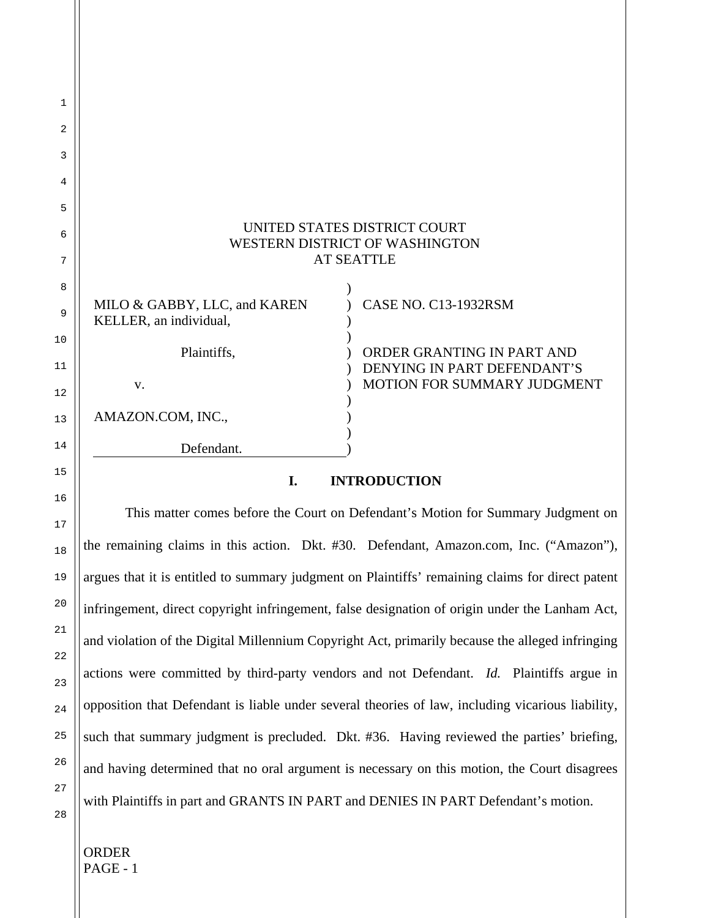|                                                        | UNITED STATES DISTRICT COURT<br>WESTERN DISTRICT OF WASHINGTON<br><b>AT SEATTLE</b>    |
|--------------------------------------------------------|----------------------------------------------------------------------------------------|
| MILO & GABBY, LLC, and KAREN<br>KELLER, an individual, | <b>CASE NO. C13-1932RSM</b>                                                            |
| Plaintiffs.<br>V.                                      | ORDER GRANTING IN PART AND<br>DENYING IN PART DEFENDANT'S<br>MOTION FOR SUMMARY JUDGME |
| AMAZON.COM, INC.,                                      |                                                                                        |
| Defendant.                                             |                                                                                        |

# **I. INTRODUCTION**

**JUDGMENT** 

This matter comes before the Court on Defendant's Motion for Summary Judgment on the remaining claims in this action. Dkt. #30. Defendant, Amazon.com, Inc. ("Amazon"), argues that it is entitled to summary judgment on Plaintiffs' remaining claims for direct patent infringement, direct copyright infringement, false designation of origin under the Lanham Act, and violation of the Digital Millennium Copyright Act, primarily because the alleged infringing actions were committed by third-party vendors and not Defendant. *Id.* Plaintiffs argue in opposition that Defendant is liable under several theories of law, including vicarious liability, such that summary judgment is precluded. Dkt. #36. Having reviewed the parties' briefing, and having determined that no oral argument is necessary on this motion, the Court disagrees with Plaintiffs in part and GRANTS IN PART and DENIES IN PART Defendant's motion.

1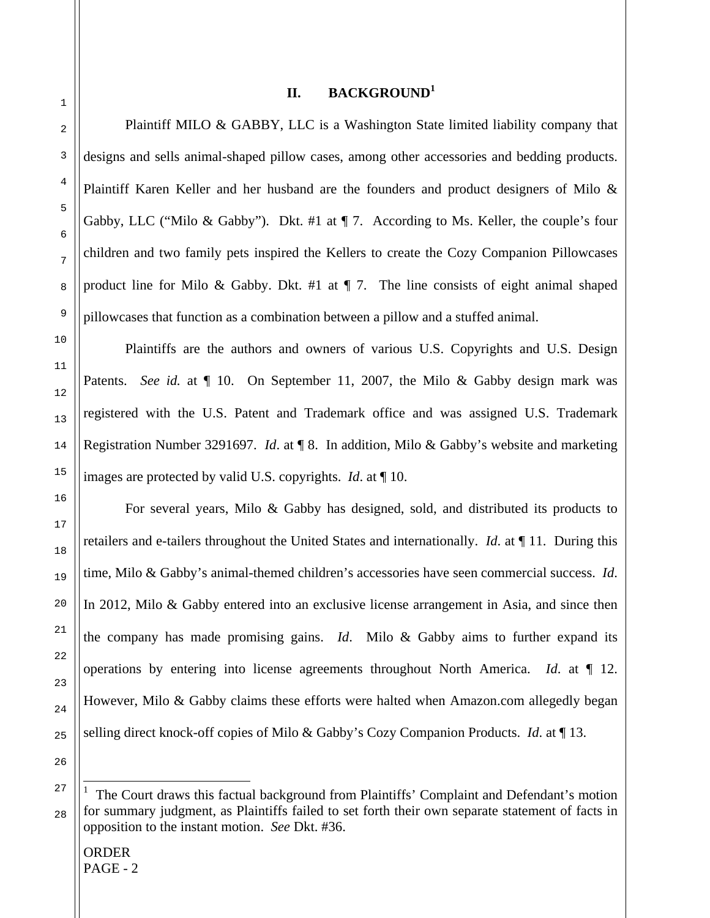# **II. BACKGROUND<sup>1</sup>**

Plaintiff MILO & GABBY, LLC is a Washington State limited liability company that designs and sells animal-shaped pillow cases, among other accessories and bedding products. Plaintiff Karen Keller and her husband are the founders and product designers of Milo & Gabby, LLC ("Milo & Gabby"). Dkt. #1 at ¶ 7. According to Ms. Keller, the couple's four children and two family pets inspired the Kellers to create the Cozy Companion Pillowcases product line for Milo & Gabby. Dkt. #1 at  $\P$  7. The line consists of eight animal shaped pillowcases that function as a combination between a pillow and a stuffed animal.

 Plaintiffs are the authors and owners of various U.S. Copyrights and U.S. Design Patents. *See id.* at  $\P$  10. On September 11, 2007, the Milo & Gabby design mark was registered with the U.S. Patent and Trademark office and was assigned U.S. Trademark Registration Number 3291697. *Id*. at ¶ 8. In addition, Milo & Gabby's website and marketing images are protected by valid U.S. copyrights. *Id*. at ¶ 10.

 For several years, Milo & Gabby has designed, sold, and distributed its products to retailers and e-tailers throughout the United States and internationally. *Id*. at ¶ 11. During this time, Milo & Gabby's animal-themed children's accessories have seen commercial success. *Id*. In 2012, Milo & Gabby entered into an exclusive license arrangement in Asia, and since then the company has made promising gains. *Id*. Milo & Gabby aims to further expand its operations by entering into license agreements throughout North America. *Id*. at ¶ 12. However, Milo & Gabby claims these efforts were halted when Amazon.com allegedly began selling direct knock-off copies of Milo & Gabby's Cozy Companion Products. *Id*. at ¶ 13.

ORDER  $PAGE - 2$ 

i

<sup>1</sup> The Court draws this factual background from Plaintiffs' Complaint and Defendant's motion for summary judgment, as Plaintiffs failed to set forth their own separate statement of facts in opposition to the instant motion. *See* Dkt. #36.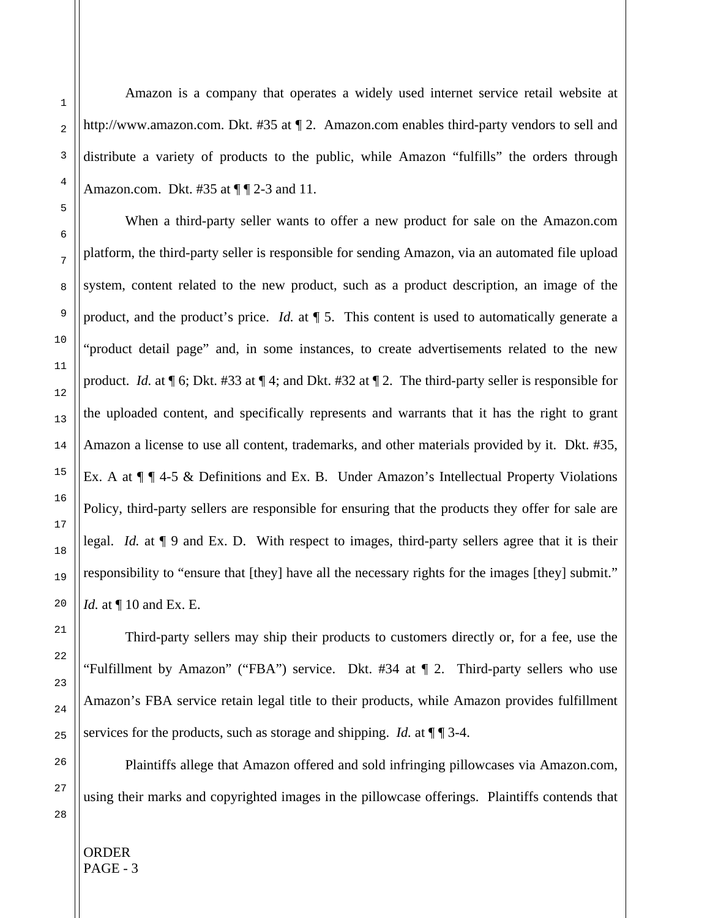Amazon is a company that operates a widely used internet service retail website at http://www.amazon.com. Dkt. #35 at ¶ 2. Amazon.com enables third-party vendors to sell and distribute a variety of products to the public, while Amazon "fulfills" the orders through Amazon.com. Dkt.  $\#35$  at  $\P$   $\P$  2-3 and 11.

When a third-party seller wants to offer a new product for sale on the Amazon.com platform, the third-party seller is responsible for sending Amazon, via an automated file upload system, content related to the new product, such as a product description, an image of the product, and the product's price. *Id.* at  $\P$  5. This content is used to automatically generate a "product detail page" and, in some instances, to create advertisements related to the new product. *Id.* at ¶ 6; Dkt. #33 at ¶ 4; and Dkt. #32 at ¶ 2. The third-party seller is responsible for the uploaded content, and specifically represents and warrants that it has the right to grant Amazon a license to use all content, trademarks, and other materials provided by it. Dkt. #35, Ex. A at  $\P$   $\P$  4-5 & Definitions and Ex. B. Under Amazon's Intellectual Property Violations Policy, third-party sellers are responsible for ensuring that the products they offer for sale are legal. *Id.* at ¶ 9 and Ex. D. With respect to images, third-party sellers agree that it is their responsibility to "ensure that [they] have all the necessary rights for the images [they] submit." *Id.* at  $\P$  10 and Ex. E.

Third-party sellers may ship their products to customers directly or, for a fee, use the "Fulfillment by Amazon" ("FBA") service. Dkt. #34 at ¶ 2. Third-party sellers who use Amazon's FBA service retain legal title to their products, while Amazon provides fulfillment services for the products, such as storage and shipping. *Id.* at  $\P$   $\P$  3-4.

Plaintiffs allege that Amazon offered and sold infringing pillowcases via Amazon.com, using their marks and copyrighted images in the pillowcase offerings. Plaintiffs contends that

ORDER PAGE - 3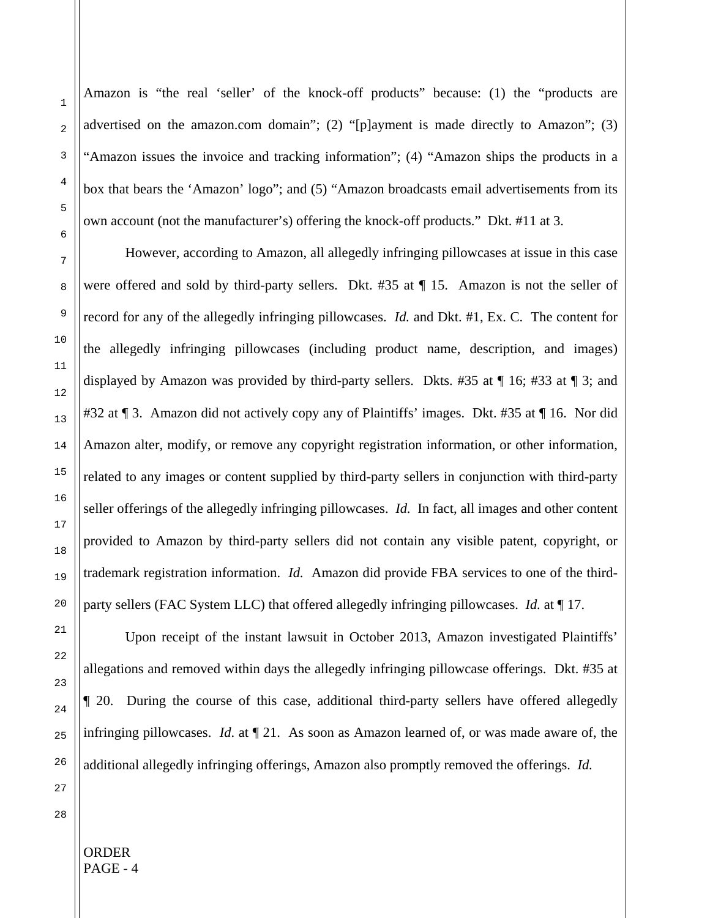Amazon is "the real 'seller' of the knock-off products" because: (1) the "products are advertised on the amazon.com domain"; (2) "[p]ayment is made directly to Amazon"; (3) "Amazon issues the invoice and tracking information"; (4) "Amazon ships the products in a box that bears the 'Amazon' logo"; and (5) "Amazon broadcasts email advertisements from its own account (not the manufacturer's) offering the knock-off products." Dkt. #11 at 3.

However, according to Amazon, all allegedly infringing pillowcases at issue in this case were offered and sold by third-party sellers. Dkt. #35 at ¶ 15. Amazon is not the seller of record for any of the allegedly infringing pillowcases. *Id.* and Dkt. #1, Ex. C. The content for the allegedly infringing pillowcases (including product name, description, and images) displayed by Amazon was provided by third-party sellers. Dkts. #35 at ¶ 16; #33 at ¶ 3; and #32 at ¶ 3. Amazon did not actively copy any of Plaintiffs' images. Dkt. #35 at ¶ 16. Nor did Amazon alter, modify, or remove any copyright registration information, or other information, related to any images or content supplied by third-party sellers in conjunction with third-party seller offerings of the allegedly infringing pillowcases. *Id.* In fact, all images and other content provided to Amazon by third-party sellers did not contain any visible patent, copyright, or trademark registration information. *Id.* Amazon did provide FBA services to one of the thirdparty sellers (FAC System LLC) that offered allegedly infringing pillowcases. *Id.* at ¶ 17.

Upon receipt of the instant lawsuit in October 2013, Amazon investigated Plaintiffs' allegations and removed within days the allegedly infringing pillowcase offerings. Dkt. #35 at ¶ 20. During the course of this case, additional third-party sellers have offered allegedly infringing pillowcases. *Id*. at ¶ 21. As soon as Amazon learned of, or was made aware of, the additional allegedly infringing offerings, Amazon also promptly removed the offerings. *Id.*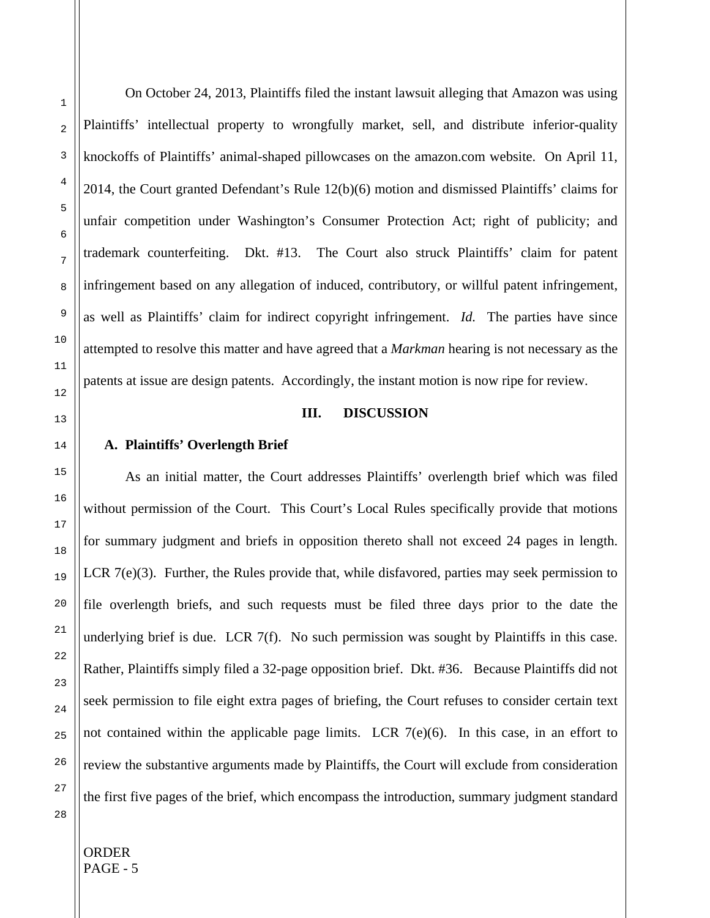On October 24, 2013, Plaintiffs filed the instant lawsuit alleging that Amazon was using Plaintiffs' intellectual property to wrongfully market, sell, and distribute inferior-quality knockoffs of Plaintiffs' animal-shaped pillowcases on the amazon.com website. On April 11, 2014, the Court granted Defendant's Rule 12(b)(6) motion and dismissed Plaintiffs' claims for unfair competition under Washington's Consumer Protection Act; right of publicity; and trademark counterfeiting. Dkt. #13. The Court also struck Plaintiffs' claim for patent infringement based on any allegation of induced, contributory, or willful patent infringement, as well as Plaintiffs' claim for indirect copyright infringement. *Id.* The parties have since attempted to resolve this matter and have agreed that a *Markman* hearing is not necessary as the patents at issue are design patents. Accordingly, the instant motion is now ripe for review.

### **III. DISCUSSION**

### **A. Plaintiffs' Overlength Brief**

As an initial matter, the Court addresses Plaintiffs' overlength brief which was filed without permission of the Court. This Court's Local Rules specifically provide that motions for summary judgment and briefs in opposition thereto shall not exceed 24 pages in length. LCR 7(e)(3). Further, the Rules provide that, while disfavored, parties may seek permission to file overlength briefs, and such requests must be filed three days prior to the date the underlying brief is due. LCR 7(f). No such permission was sought by Plaintiffs in this case. Rather, Plaintiffs simply filed a 32-page opposition brief. Dkt. #36. Because Plaintiffs did not seek permission to file eight extra pages of briefing, the Court refuses to consider certain text not contained within the applicable page limits. LCR  $7(e)(6)$ . In this case, in an effort to review the substantive arguments made by Plaintiffs, the Court will exclude from consideration the first five pages of the brief, which encompass the introduction, summary judgment standard

28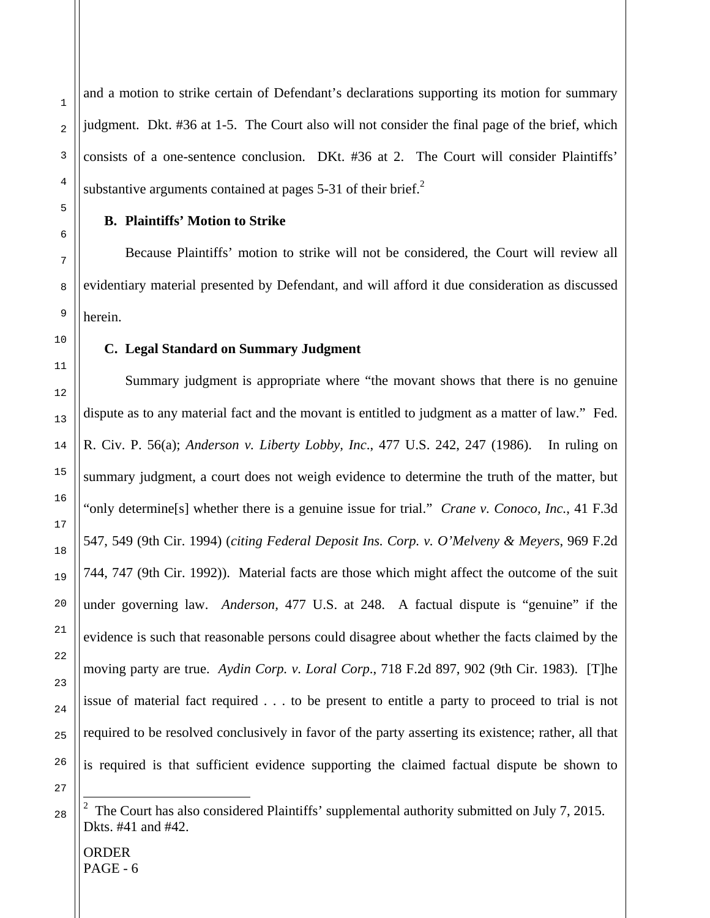and a motion to strike certain of Defendant's declarations supporting its motion for summary judgment. Dkt. #36 at 1-5. The Court also will not consider the final page of the brief, which consists of a one-sentence conclusion. DKt. #36 at 2. The Court will consider Plaintiffs' substantive arguments contained at pages  $5-31$  of their brief.<sup>2</sup>

### **B. Plaintiffs' Motion to Strike**

Because Plaintiffs' motion to strike will not be considered, the Court will review all evidentiary material presented by Defendant, and will afford it due consideration as discussed herein.

### **C. Legal Standard on Summary Judgment**

Summary judgment is appropriate where "the movant shows that there is no genuine dispute as to any material fact and the movant is entitled to judgment as a matter of law." Fed. R. Civ. P. 56(a); *Anderson v. Liberty Lobby, Inc*., 477 U.S. 242, 247 (1986). In ruling on summary judgment, a court does not weigh evidence to determine the truth of the matter, but "only determine[s] whether there is a genuine issue for trial." *Crane v. Conoco, Inc.*, 41 F.3d 547, 549 (9th Cir. 1994) (*citing Federal Deposit Ins. Corp. v. O'Melveny & Meyers*, 969 F.2d 744, 747 (9th Cir. 1992)). Material facts are those which might affect the outcome of the suit under governing law. *Anderson,* 477 U.S. at 248. A factual dispute is "genuine" if the evidence is such that reasonable persons could disagree about whether the facts claimed by the moving party are true. *Aydin Corp. v. Loral Corp*., 718 F.2d 897, 902 (9th Cir. 1983). [T]he issue of material fact required . . . to be present to entitle a party to proceed to trial is not required to be resolved conclusively in favor of the party asserting its existence; rather, all that is required is that sufficient evidence supporting the claimed factual dispute be shown to

27

i

<sup>&</sup>lt;sup>2</sup> The Court has also considered Plaintiffs' supplemental authority submitted on July 7, 2015. Dkts. #41 and #42.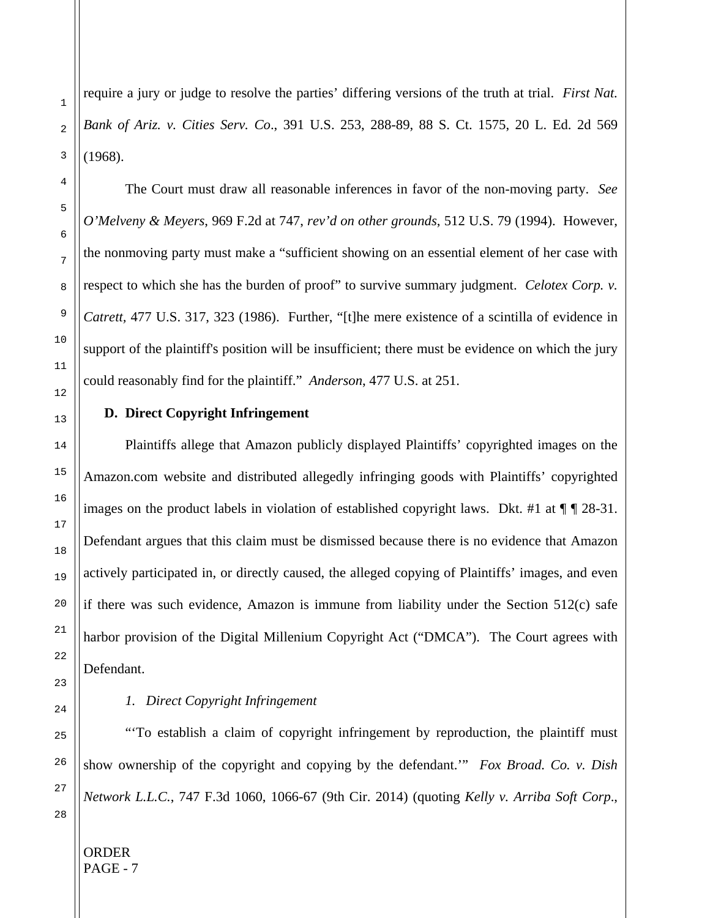require a jury or judge to resolve the parties' differing versions of the truth at trial. *First Nat. Bank of Ariz. v. Cities Serv. Co*., 391 U.S. 253, 288-89, 88 S. Ct. 1575, 20 L. Ed. 2d 569 (1968).

The Court must draw all reasonable inferences in favor of the non-moving party. *See O'Melveny & Meyers*, 969 F.2d at 747, *rev'd on other grounds*, 512 U.S. 79 (1994). However, the nonmoving party must make a "sufficient showing on an essential element of her case with respect to which she has the burden of proof" to survive summary judgment. *Celotex Corp. v. Catrett,* 477 U.S. 317, 323 (1986). Further, "[t]he mere existence of a scintilla of evidence in support of the plaintiff's position will be insufficient; there must be evidence on which the jury could reasonably find for the plaintiff." *Anderson*, 477 U.S. at 251.

### **D. Direct Copyright Infringement**

Plaintiffs allege that Amazon publicly displayed Plaintiffs' copyrighted images on the Amazon.com website and distributed allegedly infringing goods with Plaintiffs' copyrighted images on the product labels in violation of established copyright laws. Dkt. #1 at  $\P$  | 28-31. Defendant argues that this claim must be dismissed because there is no evidence that Amazon actively participated in, or directly caused, the alleged copying of Plaintiffs' images, and even if there was such evidence, Amazon is immune from liability under the Section 512(c) safe harbor provision of the Digital Millenium Copyright Act ("DMCA"). The Court agrees with Defendant.

# *1. Direct Copyright Infringement*

"'To establish a claim of copyright infringement by reproduction, the plaintiff must show ownership of the copyright and copying by the defendant.'" *Fox Broad. Co. v. Dish Network L.L.C.*, 747 F.3d 1060, 1066-67 (9th Cir. 2014) (quoting *Kelly v. Arriba Soft Corp*.,

1

2

3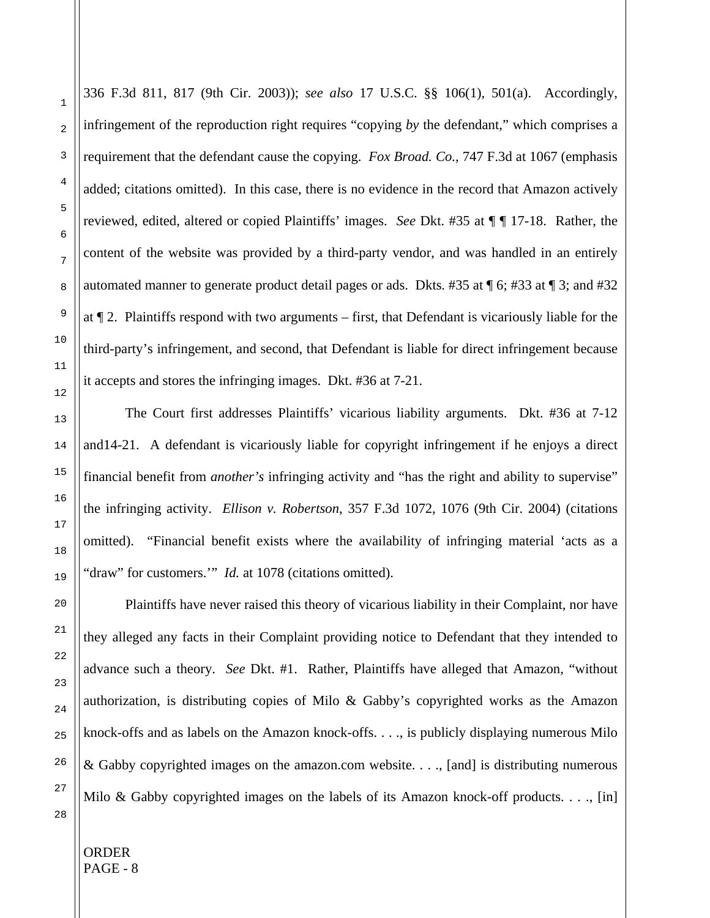1

2

336 F.3d 811, 817 (9th Cir. 2003)); *see also* 17 U.S.C. §§ 106(1), 501(a). Accordingly, infringement of the reproduction right requires "copying *by* the defendant," which comprises a requirement that the defendant cause the copying. *Fox Broad. Co.*, 747 F.3d at 1067 (emphasis added; citations omitted). In this case, there is no evidence in the record that Amazon actively reviewed, edited, altered or copied Plaintiffs' images. *See* Dkt. #35 at ¶ ¶ 17-18. Rather, the content of the website was provided by a third-party vendor, and was handled in an entirely automated manner to generate product detail pages or ads. Dkts. #35 at ¶ 6; #33 at ¶ 3; and #32 at ¶ 2. Plaintiffs respond with two arguments – first, that Defendant is vicariously liable for the third-party's infringement, and second, that Defendant is liable for direct infringement because it accepts and stores the infringing images. Dkt. #36 at 7-21.

The Court first addresses Plaintiffs' vicarious liability arguments. Dkt. #36 at 7-12 and14-21. A defendant is vicariously liable for copyright infringement if he enjoys a direct financial benefit from *another's* infringing activity and "has the right and ability to supervise" the infringing activity. *Ellison v. Robertson*, 357 F.3d 1072, 1076 (9th Cir. 2004) (citations omitted). "Financial benefit exists where the availability of infringing material 'acts as a "draw" for customers.'" *Id.* at 1078 (citations omitted).

Plaintiffs have never raised this theory of vicarious liability in their Complaint, nor have they alleged any facts in their Complaint providing notice to Defendant that they intended to advance such a theory. *See* Dkt. #1. Rather, Plaintiffs have alleged that Amazon, "without authorization, is distributing copies of Milo & Gabby's copyrighted works as the Amazon knock-offs and as labels on the Amazon knock-offs. . . ., is publicly displaying numerous Milo & Gabby copyrighted images on the amazon.com website. . . ., [and] is distributing numerous Milo & Gabby copyrighted images on the labels of its Amazon knock-off products. . . ., [in]

28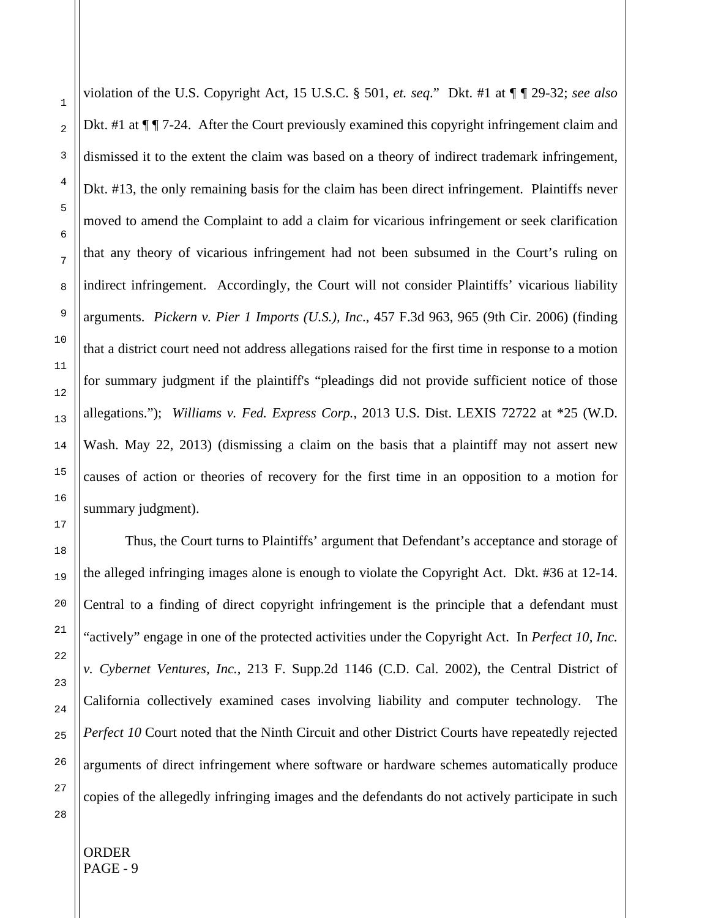violation of the U.S. Copyright Act, 15 U.S.C. § 501, *et. seq*." Dkt. #1 at ¶ ¶ 29-32; *see also*  Dkt. #1 at  $\P$   $\P$  7-24. After the Court previously examined this copyright infringement claim and dismissed it to the extent the claim was based on a theory of indirect trademark infringement, Dkt. #13, the only remaining basis for the claim has been direct infringement. Plaintiffs never moved to amend the Complaint to add a claim for vicarious infringement or seek clarification that any theory of vicarious infringement had not been subsumed in the Court's ruling on indirect infringement. Accordingly, the Court will not consider Plaintiffs' vicarious liability arguments. *Pickern v. Pier 1 Imports (U.S.), Inc*., 457 F.3d 963, 965 (9th Cir. 2006) (finding that a district court need not address allegations raised for the first time in response to a motion for summary judgment if the plaintiff's "pleadings did not provide sufficient notice of those allegations."); *Williams v. Fed. Express Corp.*, 2013 U.S. Dist. LEXIS 72722 at \*25 (W.D. Wash. May 22, 2013) (dismissing a claim on the basis that a plaintiff may not assert new causes of action or theories of recovery for the first time in an opposition to a motion for summary judgment).

Thus, the Court turns to Plaintiffs' argument that Defendant's acceptance and storage of the alleged infringing images alone is enough to violate the Copyright Act. Dkt. #36 at 12-14. Central to a finding of direct copyright infringement is the principle that a defendant must "actively" engage in one of the protected activities under the Copyright Act. In *Perfect 10, Inc. v. Cybernet Ventures, Inc.*, 213 F. Supp.2d 1146 (C.D. Cal. 2002), the Central District of California collectively examined cases involving liability and computer technology. The *Perfect 10* Court noted that the Ninth Circuit and other District Courts have repeatedly rejected arguments of direct infringement where software or hardware schemes automatically produce copies of the allegedly infringing images and the defendants do not actively participate in such

26 27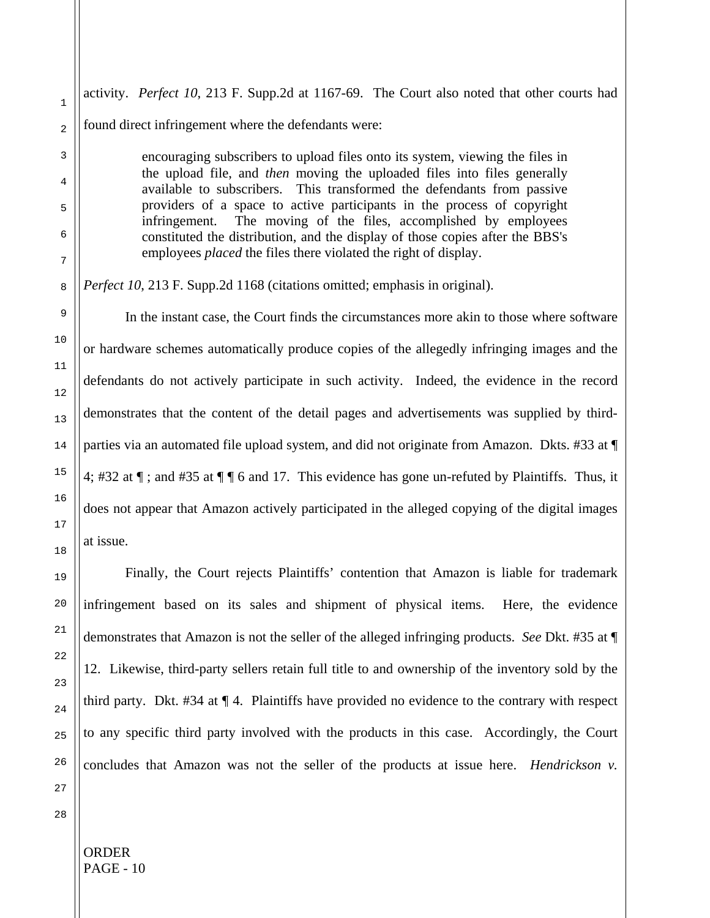activity. *Perfect 10*, 213 F. Supp.2d at 1167-69. The Court also noted that other courts had found direct infringement where the defendants were:

> encouraging subscribers to upload files onto its system, viewing the files in the upload file, and *then* moving the uploaded files into files generally available to subscribers. This transformed the defendants from passive providers of a space to active participants in the process of copyright infringement. The moving of the files, accomplished by employees constituted the distribution, and the display of those copies after the BBS's employees *placed* the files there violated the right of display.

*Perfect 10*, 213 F. Supp.2d 1168 (citations omitted; emphasis in original).

 In the instant case, the Court finds the circumstances more akin to those where software or hardware schemes automatically produce copies of the allegedly infringing images and the defendants do not actively participate in such activity. Indeed, the evidence in the record demonstrates that the content of the detail pages and advertisements was supplied by thirdparties via an automated file upload system, and did not originate from Amazon. Dkts. #33 at ¶ 4; #32 at ¶ ; and #35 at ¶ ¶ 6 and 17. This evidence has gone un-refuted by Plaintiffs. Thus, it does not appear that Amazon actively participated in the alleged copying of the digital images at issue.

 Finally, the Court rejects Plaintiffs' contention that Amazon is liable for trademark infringement based on its sales and shipment of physical items. Here, the evidence demonstrates that Amazon is not the seller of the alleged infringing products. *See* Dkt. #35 at ¶ 12. Likewise, third-party sellers retain full title to and ownership of the inventory sold by the third party. Dkt. #34 at ¶ 4. Plaintiffs have provided no evidence to the contrary with respect to any specific third party involved with the products in this case. Accordingly, the Court concludes that Amazon was not the seller of the products at issue here. *Hendrickson v.* 

1

2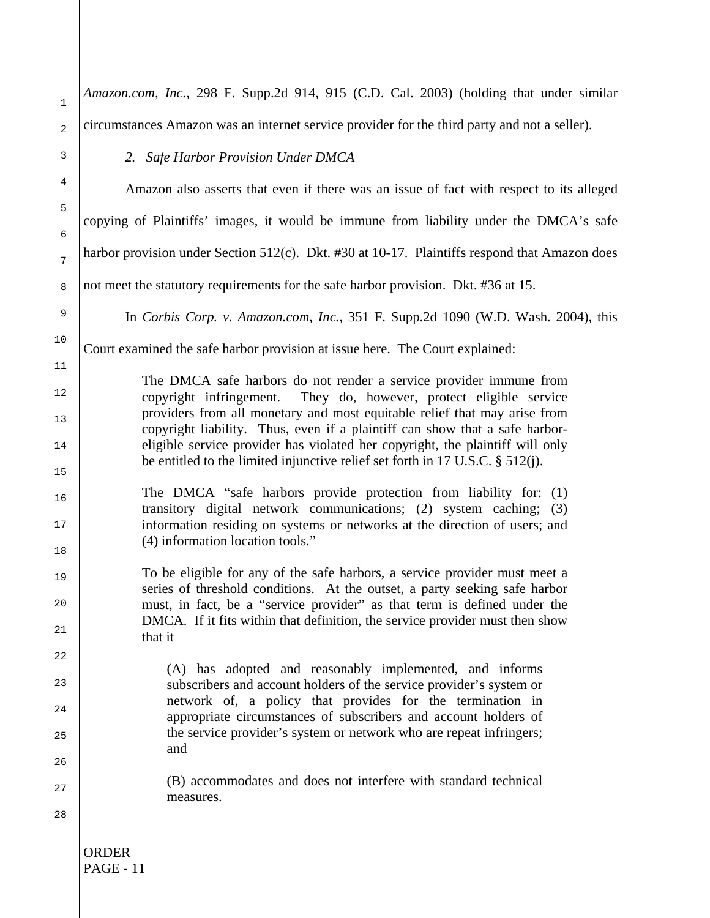| $\mathbf 1$ | Amazon.com, Inc., 298 F. Supp.2d 914, 915 (C.D. Cal. 2003) (holding that under similar                                                                       |
|-------------|--------------------------------------------------------------------------------------------------------------------------------------------------------------|
| $\sqrt{2}$  | circumstances Amazon was an internet service provider for the third party and not a seller).                                                                 |
| 3           | 2. Safe Harbor Provision Under DMCA                                                                                                                          |
| 4           | Amazon also asserts that even if there was an issue of fact with respect to its alleged                                                                      |
| 5<br>6      | copying of Plaintiffs' images, it would be immune from liability under the DMCA's safe                                                                       |
| 7           | harbor provision under Section 512(c). Dkt. #30 at 10-17. Plaintiffs respond that Amazon does                                                                |
| 8           | not meet the statutory requirements for the safe harbor provision. Dkt. #36 at 15.                                                                           |
| 9           | In Corbis Corp. v. Amazon.com, Inc., 351 F. Supp.2d 1090 (W.D. Wash. 2004), this                                                                             |
| 10          | Court examined the safe harbor provision at issue here. The Court explained:                                                                                 |
| 11          | The DMCA safe harbors do not render a service provider immune from                                                                                           |
| 12          | copyright infringement.<br>They do, however, protect eligible service<br>providers from all monetary and most equitable relief that may arise from           |
| 13<br>14    | copyright liability. Thus, even if a plaintiff can show that a safe harbor-<br>eligible service provider has violated her copyright, the plaintiff will only |
| 15          | be entitled to the limited injunctive relief set forth in 17 U.S.C. $\S$ 512(j).                                                                             |
| 16          | The DMCA "safe harbors provide protection from liability for: (1)                                                                                            |
| $17$        | transitory digital network communications; (2) system caching; (3)<br>information residing on systems or networks at the direction of users; and             |
| 18          | (4) information location tools."                                                                                                                             |
| 19          | To be eligible for any of the safe harbors, a service provider must meet a                                                                                   |
| 20          | series of threshold conditions. At the outset, a party seeking safe harbor<br>must, in fact, be a "service provider" as that term is defined under the       |
| 21          | DMCA. If it fits within that definition, the service provider must then show<br>that it                                                                      |
| 22          | (A) has adopted and reasonably implemented, and informs                                                                                                      |
| 23          | subscribers and account holders of the service provider's system or                                                                                          |
| 24          | network of, a policy that provides for the termination in<br>appropriate circumstances of subscribers and account holders of                                 |
| 25          | the service provider's system or network who are repeat infringers;<br>and                                                                                   |
| 26          |                                                                                                                                                              |
| 27          | (B) accommodates and does not interfere with standard technical<br>measures.                                                                                 |
| 28          |                                                                                                                                                              |
|             |                                                                                                                                                              |
|             | <b>ORDER</b><br><b>PAGE - 11</b>                                                                                                                             |
|             |                                                                                                                                                              |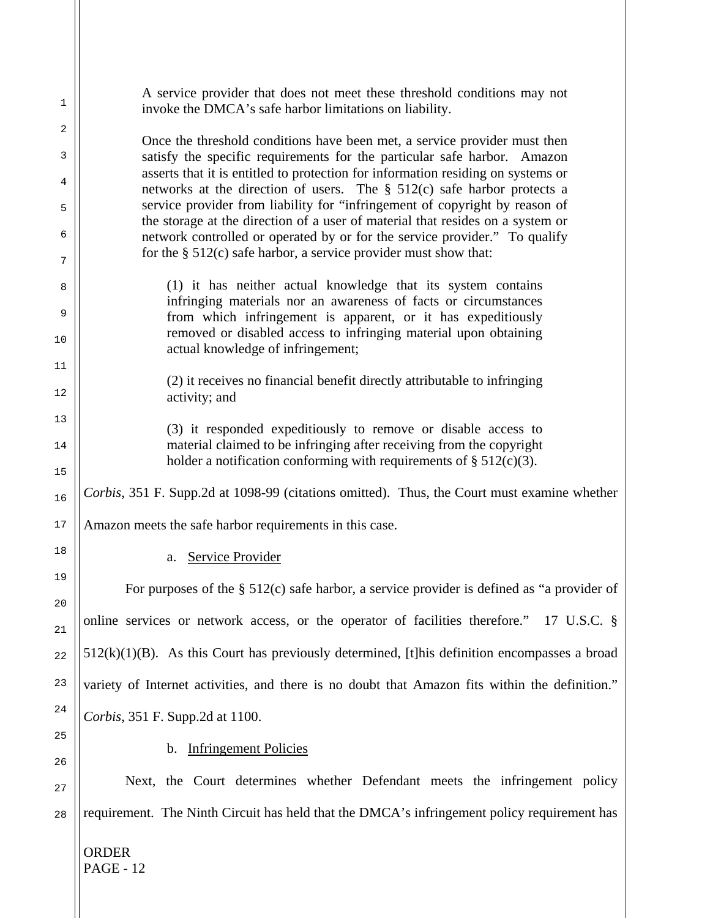| 1        | A service provider that does not meet these threshold conditions may not<br>invoke the DMCA's safe harbor limitations on liability.                                                                             |
|----------|-----------------------------------------------------------------------------------------------------------------------------------------------------------------------------------------------------------------|
| 2        |                                                                                                                                                                                                                 |
| 3        | Once the threshold conditions have been met, a service provider must then<br>satisfy the specific requirements for the particular safe harbor. Amazon                                                           |
| 4        | asserts that it is entitled to protection for information residing on systems or<br>networks at the direction of users. The § 512(c) safe harbor protects a                                                     |
| 5        | service provider from liability for "infringement of copyright by reason of<br>the storage at the direction of a user of material that resides on a system or                                                   |
| 6<br>7   | network controlled or operated by or for the service provider." To qualify<br>for the $\S$ 512(c) safe harbor, a service provider must show that:                                                               |
| 8        | (1) it has neither actual knowledge that its system contains                                                                                                                                                    |
| 9        | infringing materials nor an awareness of facts or circumstances<br>from which infringement is apparent, or it has expeditiously                                                                                 |
| 10       | removed or disabled access to infringing material upon obtaining<br>actual knowledge of infringement;                                                                                                           |
| 11       |                                                                                                                                                                                                                 |
| 12       | (2) it receives no financial benefit directly attributable to infringing<br>activity; and                                                                                                                       |
| 13       |                                                                                                                                                                                                                 |
| 14       | (3) it responded expeditiously to remove or disable access to<br>material claimed to be infringing after receiving from the copyright<br>holder a notification conforming with requirements of $\S 512(c)(3)$ . |
| 15<br>16 | Corbis, 351 F. Supp.2d at 1098-99 (citations omitted). Thus, the Court must examine whether                                                                                                                     |
| 17       | Amazon meets the safe harbor requirements in this case.                                                                                                                                                         |
| 18       | <b>Service Provider</b><br>a.                                                                                                                                                                                   |
| 19       | For purposes of the $\S$ 512(c) safe harbor, a service provider is defined as "a provider of                                                                                                                    |
| 20<br>21 | online services or network access, or the operator of facilities therefore." 17 U.S.C. §                                                                                                                        |
| 22       | $512(k)(1)(B)$ . As this Court has previously determined, [t] his definition encompasses a broad                                                                                                                |
| 23       | variety of Internet activities, and there is no doubt that Amazon fits within the definition."                                                                                                                  |
| 24       | Corbis, 351 F. Supp.2d at 1100.                                                                                                                                                                                 |
| 25       | b. Infringement Policies                                                                                                                                                                                        |
| 26       | Next, the Court determines whether Defendant meets the infringement policy                                                                                                                                      |
| 27       |                                                                                                                                                                                                                 |
| 28       | requirement. The Ninth Circuit has held that the DMCA's infringement policy requirement has                                                                                                                     |

ORDER

28

PAGE - 12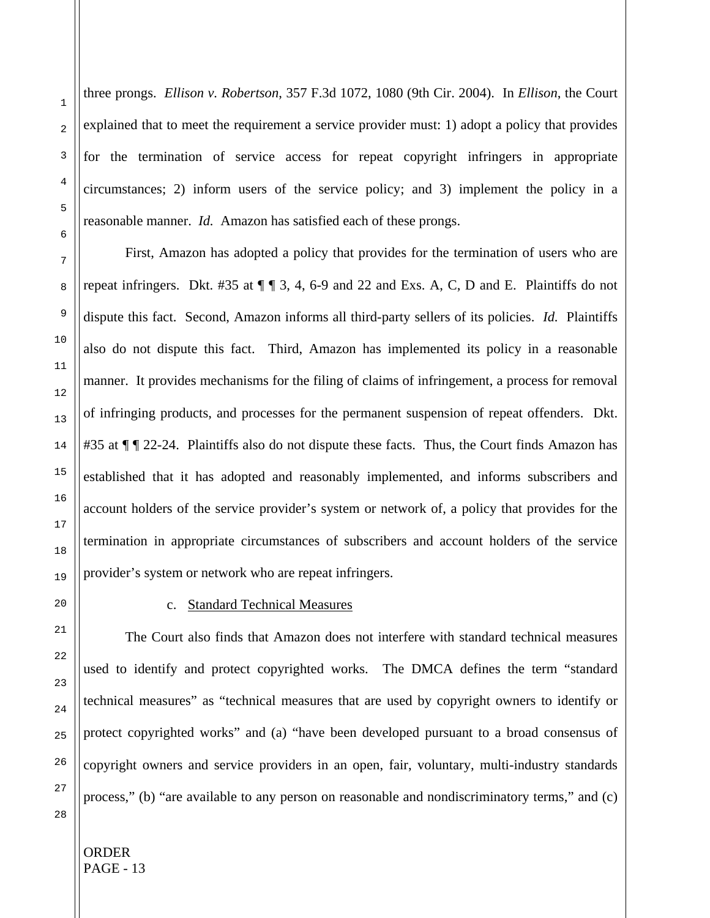three prongs. *Ellison v. Robertson*, 357 F.3d 1072, 1080 (9th Cir. 2004). In *Ellison*, the Court explained that to meet the requirement a service provider must: 1) adopt a policy that provides for the termination of service access for repeat copyright infringers in appropriate circumstances; 2) inform users of the service policy; and 3) implement the policy in a reasonable manner. *Id.* Amazon has satisfied each of these prongs.

First, Amazon has adopted a policy that provides for the termination of users who are repeat infringers. Dkt.  $#35$  at  $\P\P_3$ , 4, 6-9 and 22 and Exs. A, C, D and E. Plaintiffs do not dispute this fact. Second, Amazon informs all third-party sellers of its policies. *Id.* Plaintiffs also do not dispute this fact. Third, Amazon has implemented its policy in a reasonable manner. It provides mechanisms for the filing of claims of infringement, a process for removal of infringing products, and processes for the permanent suspension of repeat offenders. Dkt. #35 at  $\P$   $\P$  22-24. Plaintiffs also do not dispute these facts. Thus, the Court finds Amazon has established that it has adopted and reasonably implemented, and informs subscribers and account holders of the service provider's system or network of, a policy that provides for the termination in appropriate circumstances of subscribers and account holders of the service provider's system or network who are repeat infringers.

## c. Standard Technical Measures

The Court also finds that Amazon does not interfere with standard technical measures used to identify and protect copyrighted works. The DMCA defines the term "standard technical measures" as "technical measures that are used by copyright owners to identify or protect copyrighted works" and (a) "have been developed pursuant to a broad consensus of copyright owners and service providers in an open, fair, voluntary, multi-industry standards process," (b) "are available to any person on reasonable and nondiscriminatory terms," and (c)

25 26 27

28

1

2

3

4

5

6

7

8

9

10

11

12

13

14

15

16

17

18

19

20

21

22

23

24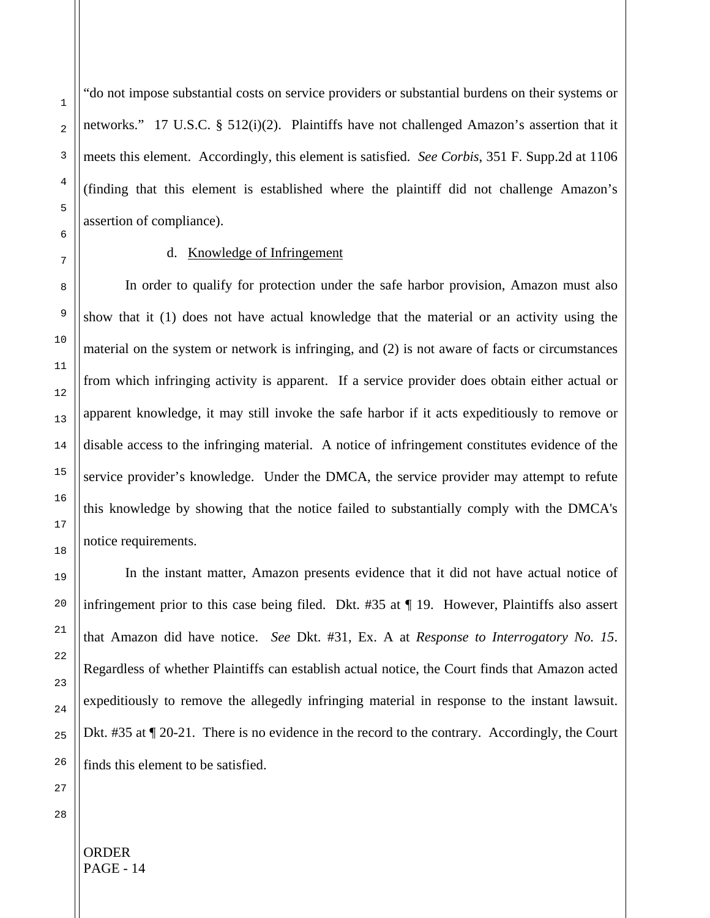"do not impose substantial costs on service providers or substantial burdens on their systems or networks." 17 U.S.C. § 512(i)(2). Plaintiffs have not challenged Amazon's assertion that it meets this element. Accordingly, this element is satisfied. *See Corbis*, 351 F. Supp.2d at 1106 (finding that this element is established where the plaintiff did not challenge Amazon's assertion of compliance).

## d. Knowledge of Infringement

In order to qualify for protection under the safe harbor provision, Amazon must also show that it (1) does not have actual knowledge that the material or an activity using the material on the system or network is infringing, and (2) is not aware of facts or circumstances from which infringing activity is apparent. If a service provider does obtain either actual or apparent knowledge, it may still invoke the safe harbor if it acts expeditiously to remove or disable access to the infringing material. A notice of infringement constitutes evidence of the service provider's knowledge. Under the DMCA, the service provider may attempt to refute this knowledge by showing that the notice failed to substantially comply with the DMCA's notice requirements.

In the instant matter, Amazon presents evidence that it did not have actual notice of infringement prior to this case being filed. Dkt. #35 at ¶ 19. However, Plaintiffs also assert that Amazon did have notice. *See* Dkt. #31, Ex. A at *Response to Interrogatory No. 15*. Regardless of whether Plaintiffs can establish actual notice, the Court finds that Amazon acted expeditiously to remove the allegedly infringing material in response to the instant lawsuit. Dkt. #35 at  $\P$  20-21. There is no evidence in the record to the contrary. Accordingly, the Court finds this element to be satisfied.

1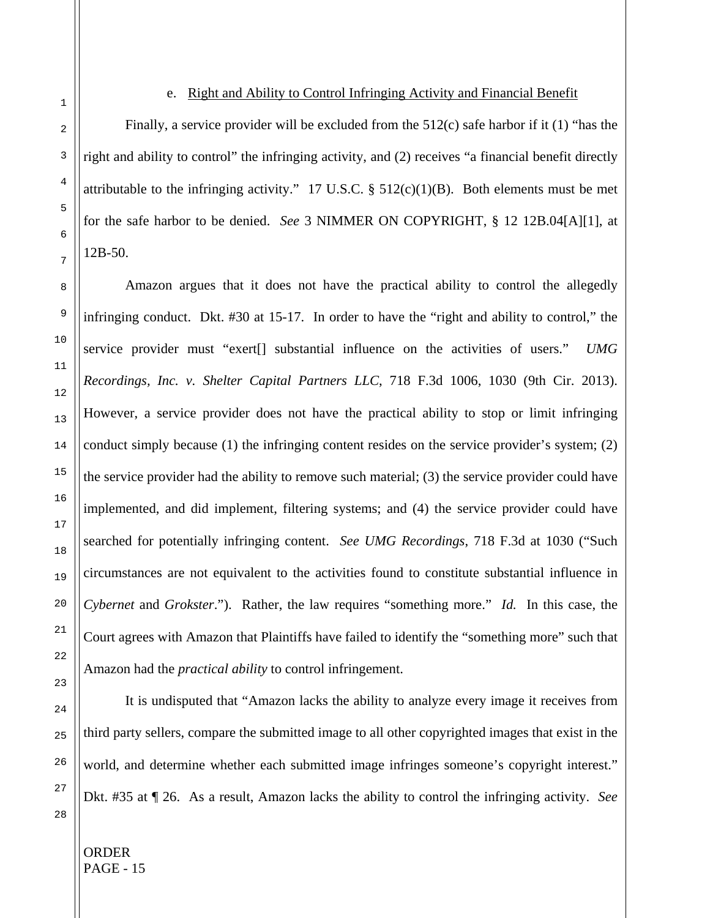#### e. Right and Ability to Control Infringing Activity and Financial Benefit

Finally, a service provider will be excluded from the 512(c) safe harbor if it (1) "has the right and ability to control" the infringing activity, and (2) receives "a financial benefit directly attributable to the infringing activity." 17 U.S.C.  $\S$  512(c)(1)(B). Both elements must be met for the safe harbor to be denied. *See* 3 NIMMER ON COPYRIGHT, § 12 12B.04[A][1], at 12B-50.

Amazon argues that it does not have the practical ability to control the allegedly infringing conduct. Dkt. #30 at 15-17. In order to have the "right and ability to control," the service provider must "exert[] substantial influence on the activities of users." *UMG Recordings, Inc. v. Shelter Capital Partners LLC*, 718 F.3d 1006, 1030 (9th Cir. 2013). However, a service provider does not have the practical ability to stop or limit infringing conduct simply because (1) the infringing content resides on the service provider's system; (2) the service provider had the ability to remove such material; (3) the service provider could have implemented, and did implement, filtering systems; and (4) the service provider could have searched for potentially infringing content. *See UMG Recordings*, 718 F.3d at 1030 ("Such circumstances are not equivalent to the activities found to constitute substantial influence in *Cybernet* and *Grokster*."). Rather, the law requires "something more." *Id.* In this case, the Court agrees with Amazon that Plaintiffs have failed to identify the "something more" such that Amazon had the *practical ability* to control infringement.

It is undisputed that "Amazon lacks the ability to analyze every image it receives from third party sellers, compare the submitted image to all other copyrighted images that exist in the world, and determine whether each submitted image infringes someone's copyright interest." Dkt. #35 at ¶ 26. As a result, Amazon lacks the ability to control the infringing activity. *See* 

ORDER PAGE - 15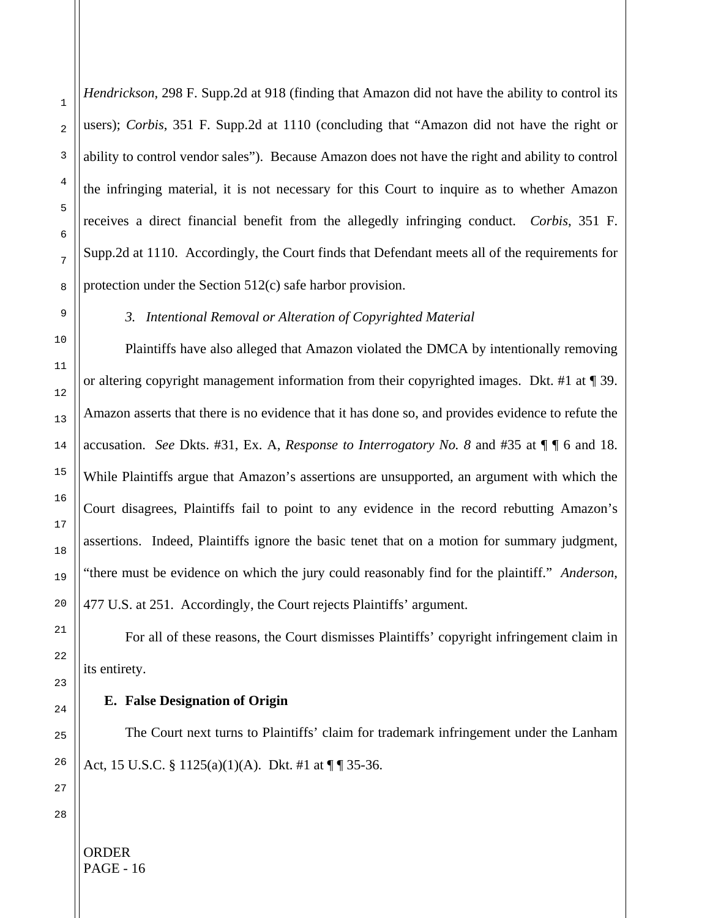*Hendrickson*, 298 F. Supp.2d at 918 (finding that Amazon did not have the ability to control its users); *Corbis*, 351 F. Supp.2d at 1110 (concluding that "Amazon did not have the right or ability to control vendor sales"). Because Amazon does not have the right and ability to control the infringing material, it is not necessary for this Court to inquire as to whether Amazon receives a direct financial benefit from the allegedly infringing conduct. *Corbis*, 351 F. Supp.2d at 1110. Accordingly, the Court finds that Defendant meets all of the requirements for protection under the Section 512(c) safe harbor provision.

# *3. Intentional Removal or Alteration of Copyrighted Material*

Plaintiffs have also alleged that Amazon violated the DMCA by intentionally removing or altering copyright management information from their copyrighted images. Dkt. #1 at ¶ 39. Amazon asserts that there is no evidence that it has done so, and provides evidence to refute the accusation. *See* Dkts. #31, Ex. A, *Response to Interrogatory No. 8* and #35 at ¶ ¶ 6 and 18. While Plaintiffs argue that Amazon's assertions are unsupported, an argument with which the Court disagrees, Plaintiffs fail to point to any evidence in the record rebutting Amazon's assertions. Indeed, Plaintiffs ignore the basic tenet that on a motion for summary judgment, "there must be evidence on which the jury could reasonably find for the plaintiff." *Anderson*, 477 U.S. at 251. Accordingly, the Court rejects Plaintiffs' argument.

For all of these reasons, the Court dismisses Plaintiffs' copyright infringement claim in its entirety.

### **E. False Designation of Origin**

The Court next turns to Plaintiffs' claim for trademark infringement under the Lanham Act, 15 U.S.C. § 1125(a)(1)(A). Dkt. #1 at  $\P$   $\P$  35-36.

1

2

3

4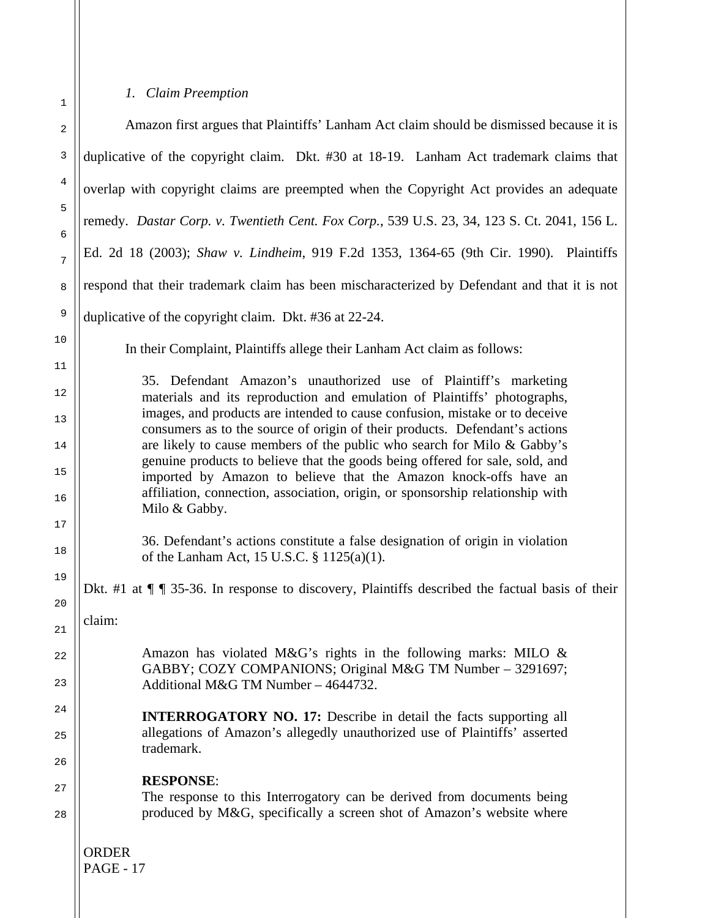# *1. Claim Preemption*

ORDER PAGE - 17 Amazon first argues that Plaintiffs' Lanham Act claim should be dismissed because it is duplicative of the copyright claim. Dkt. #30 at 18-19. Lanham Act trademark claims that overlap with copyright claims are preempted when the Copyright Act provides an adequate remedy. *Dastar Corp. v. Twentieth Cent. Fox Corp.*, 539 U.S. 23, 34, 123 S. Ct. 2041, 156 L. Ed. 2d 18 (2003); *Shaw v. Lindheim*, 919 F.2d 1353, 1364-65 (9th Cir. 1990). Plaintiffs respond that their trademark claim has been mischaracterized by Defendant and that it is not duplicative of the copyright claim. Dkt. #36 at 22-24. In their Complaint, Plaintiffs allege their Lanham Act claim as follows: 35. Defendant Amazon's unauthorized use of Plaintiff's marketing materials and its reproduction and emulation of Plaintiffs' photographs, images, and products are intended to cause confusion, mistake or to deceive consumers as to the source of origin of their products. Defendant's actions are likely to cause members of the public who search for Milo & Gabby's genuine products to believe that the goods being offered for sale, sold, and imported by Amazon to believe that the Amazon knock-offs have an affiliation, connection, association, origin, or sponsorship relationship with Milo & Gabby. 36. Defendant's actions constitute a false designation of origin in violation of the Lanham Act, 15 U.S.C. § 1125(a)(1). Dkt. #1 at  $\P$   $\P$  35-36. In response to discovery, Plaintiffs described the factual basis of their claim: Amazon has violated M&G's rights in the following marks: MILO & GABBY; COZY COMPANIONS; Original M&G TM Number – 3291697; Additional M&G TM Number – 4644732. **INTERROGATORY NO. 17:** Describe in detail the facts supporting all allegations of Amazon's allegedly unauthorized use of Plaintiffs' asserted trademark. **RESPONSE**: The response to this Interrogatory can be derived from documents being produced by M&G, specifically a screen shot of Amazon's website where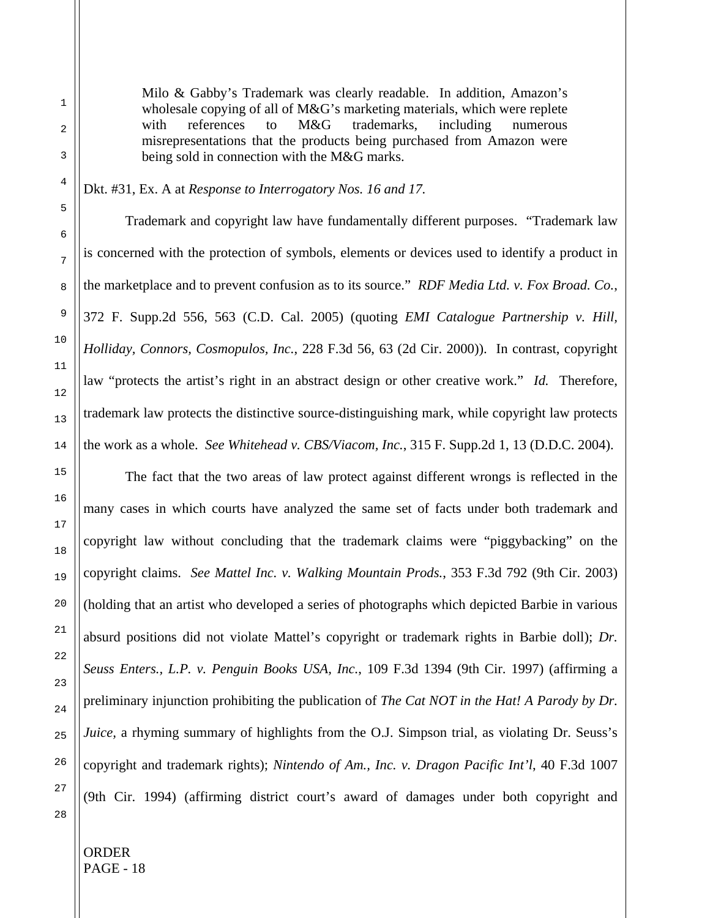Milo & Gabby's Trademark was clearly readable. In addition, Amazon's wholesale copying of all of M&G's marketing materials, which were replete with references to M&G trademarks, including numerous misrepresentations that the products being purchased from Amazon were being sold in connection with the M&G marks.

Dkt. #31, Ex. A at *Response to Interrogatory Nos. 16 and 17.*

Trademark and copyright law have fundamentally different purposes. "Trademark law is concerned with the protection of symbols, elements or devices used to identify a product in the marketplace and to prevent confusion as to its source." *RDF Media Ltd. v. Fox Broad. Co.*, 372 F. Supp.2d 556, 563 (C.D. Cal. 2005) (quoting *EMI Catalogue Partnership v. Hill, Holliday, Connors, Cosmopulos, Inc.*, 228 F.3d 56, 63 (2d Cir. 2000)). In contrast, copyright law "protects the artist's right in an abstract design or other creative work." *Id.* Therefore, trademark law protects the distinctive source-distinguishing mark, while copyright law protects the work as a whole. *See Whitehead v. CBS/Viacom, Inc.*, 315 F. Supp.2d 1, 13 (D.D.C. 2004).

The fact that the two areas of law protect against different wrongs is reflected in the many cases in which courts have analyzed the same set of facts under both trademark and copyright law without concluding that the trademark claims were "piggybacking" on the copyright claims. *See Mattel Inc. v. Walking Mountain Prods.*, 353 F.3d 792 (9th Cir. 2003) (holding that an artist who developed a series of photographs which depicted Barbie in various absurd positions did not violate Mattel's copyright or trademark rights in Barbie doll); *Dr. Seuss Enters., L.P. v. Penguin Books USA, Inc.*, 109 F.3d 1394 (9th Cir. 1997) (affirming a preliminary injunction prohibiting the publication of *The Cat NOT in the Hat! A Parody by Dr. Juice*, a rhyming summary of highlights from the O.J. Simpson trial, as violating Dr. Seuss's copyright and trademark rights); *Nintendo of Am., Inc. v. Dragon Pacific Int'l*, 40 F.3d 1007 (9th Cir. 1994) (affirming district court's award of damages under both copyright and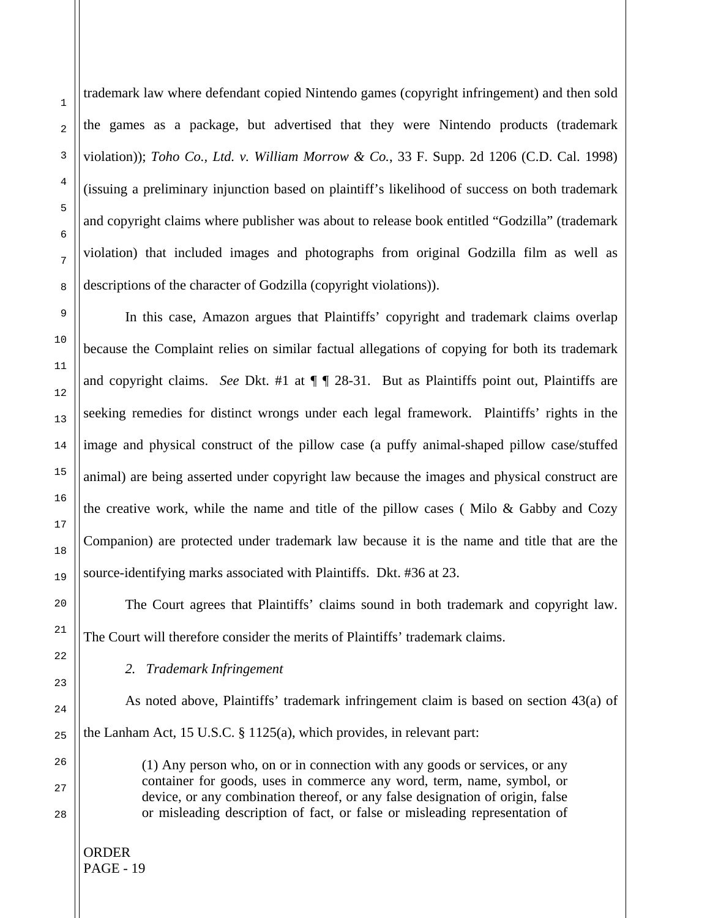trademark law where defendant copied Nintendo games (copyright infringement) and then sold the games as a package, but advertised that they were Nintendo products (trademark violation)); *Toho Co., Ltd. v. William Morrow & Co.*, 33 F. Supp. 2d 1206 (C.D. Cal. 1998) (issuing a preliminary injunction based on plaintiff's likelihood of success on both trademark and copyright claims where publisher was about to release book entitled "Godzilla" (trademark violation) that included images and photographs from original Godzilla film as well as descriptions of the character of Godzilla (copyright violations)).

In this case, Amazon argues that Plaintiffs' copyright and trademark claims overlap because the Complaint relies on similar factual allegations of copying for both its trademark and copyright claims. *See* Dkt. #1 at  $\P\P$  28-31. But as Plaintiffs point out, Plaintiffs are seeking remedies for distinct wrongs under each legal framework. Plaintiffs' rights in the image and physical construct of the pillow case (a puffy animal-shaped pillow case/stuffed animal) are being asserted under copyright law because the images and physical construct are the creative work, while the name and title of the pillow cases ( Milo & Gabby and Cozy Companion) are protected under trademark law because it is the name and title that are the source-identifying marks associated with Plaintiffs. Dkt. #36 at 23.

The Court agrees that Plaintiffs' claims sound in both trademark and copyright law. The Court will therefore consider the merits of Plaintiffs' trademark claims.

## *2. Trademark Infringement*

As noted above, Plaintiffs' trademark infringement claim is based on section 43(a) of the Lanham Act, 15 U.S.C. § 1125(a), which provides, in relevant part:

> (1) Any person who, on or in connection with any goods or services, or any container for goods, uses in commerce any word, term, name, symbol, or device, or any combination thereof, or any false designation of origin, false or misleading description of fact, or false or misleading representation of

ORDER PAGE - 19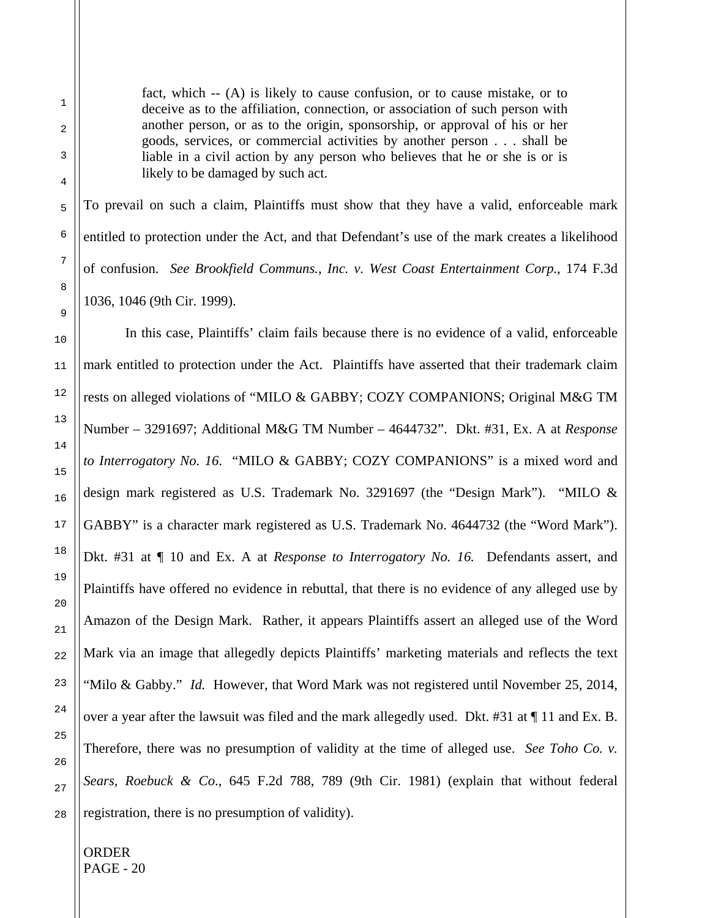fact, which -- (A) is likely to cause confusion, or to cause mistake, or to deceive as to the affiliation, connection, or association of such person with another person, or as to the origin, sponsorship, or approval of his or her goods, services, or commercial activities by another person . . . shall be liable in a civil action by any person who believes that he or she is or is likely to be damaged by such act.

To prevail on such a claim, Plaintiffs must show that they have a valid, enforceable mark entitled to protection under the Act, and that Defendant's use of the mark creates a likelihood of confusion. *See Brookfield Communs., Inc. v. West Coast Entertainment Corp.*, 174 F.3d 1036, 1046 (9th Cir. 1999).

In this case, Plaintiffs' claim fails because there is no evidence of a valid, enforceable mark entitled to protection under the Act. Plaintiffs have asserted that their trademark claim rests on alleged violations of "MILO & GABBY; COZY COMPANIONS; Original M&G TM Number – 3291697; Additional M&G TM Number – 4644732". Dkt. #31, Ex. A at *Response to Interrogatory No. 16*. "MILO & GABBY; COZY COMPANIONS" is a mixed word and design mark registered as U.S. Trademark No. 3291697 (the "Design Mark"). "MILO & GABBY" is a character mark registered as U.S. Trademark No. 4644732 (the "Word Mark"). Dkt. #31 at ¶ 10 and Ex. A at *Response to Interrogatory No. 16.* Defendants assert, and Plaintiffs have offered no evidence in rebuttal, that there is no evidence of any alleged use by Amazon of the Design Mark. Rather, it appears Plaintiffs assert an alleged use of the Word Mark via an image that allegedly depicts Plaintiffs' marketing materials and reflects the text "Milo & Gabby." *Id.* However, that Word Mark was not registered until November 25, 2014, over a year after the lawsuit was filed and the mark allegedly used. Dkt. #31 at ¶ 11 and Ex. B. Therefore, there was no presumption of validity at the time of alleged use. *See Toho Co. v. Sears, Roebuck & Co*., 645 F.2d 788, 789 (9th Cir. 1981) (explain that without federal registration, there is no presumption of validity).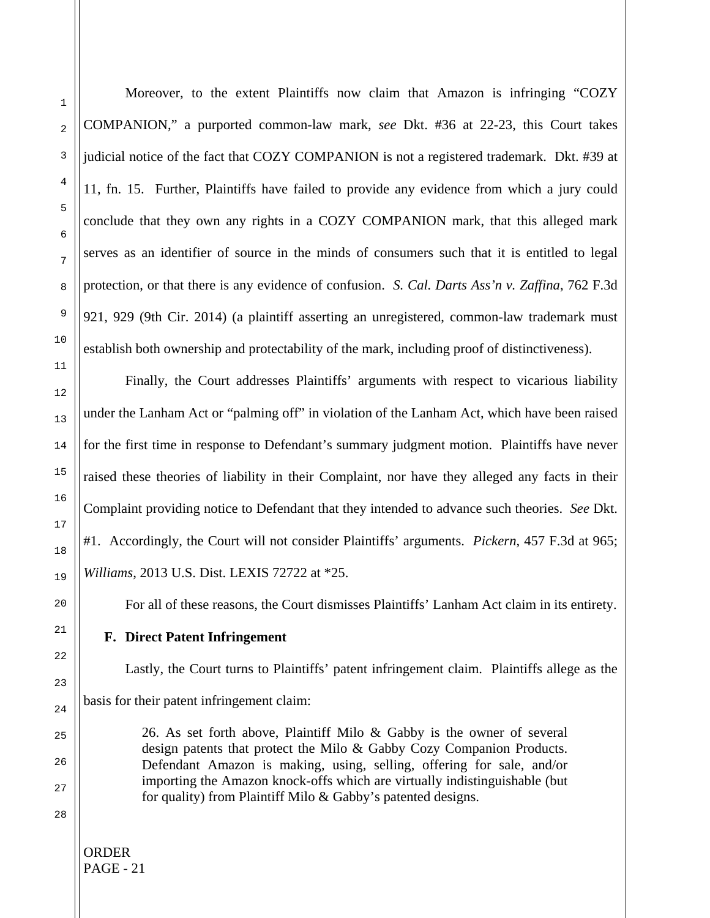Moreover, to the extent Plaintiffs now claim that Amazon is infringing "COZY COMPANION," a purported common-law mark, *see* Dkt. #36 at 22-23, this Court takes judicial notice of the fact that COZY COMPANION is not a registered trademark. Dkt. #39 at 11, fn. 15. Further, Plaintiffs have failed to provide any evidence from which a jury could conclude that they own any rights in a COZY COMPANION mark, that this alleged mark serves as an identifier of source in the minds of consumers such that it is entitled to legal protection, or that there is any evidence of confusion. *S. Cal. Darts Ass'n v. Zaffina*, 762 F.3d 921, 929 (9th Cir. 2014) (a plaintiff asserting an unregistered, common-law trademark must establish both ownership and protectability of the mark, including proof of distinctiveness).

Finally, the Court addresses Plaintiffs' arguments with respect to vicarious liability under the Lanham Act or "palming off" in violation of the Lanham Act, which have been raised for the first time in response to Defendant's summary judgment motion. Plaintiffs have never raised these theories of liability in their Complaint, nor have they alleged any facts in their Complaint providing notice to Defendant that they intended to advance such theories. *See* Dkt. #1. Accordingly, the Court will not consider Plaintiffs' arguments. *Pickern*, 457 F.3d at 965; *Williams*, 2013 U.S. Dist. LEXIS 72722 at \*25.

For all of these reasons, the Court dismisses Plaintiffs' Lanham Act claim in its entirety.

# **F. Direct Patent Infringement**

Lastly, the Court turns to Plaintiffs' patent infringement claim. Plaintiffs allege as the basis for their patent infringement claim:

> 26. As set forth above, Plaintiff Milo & Gabby is the owner of several design patents that protect the Milo & Gabby Cozy Companion Products. Defendant Amazon is making, using, selling, offering for sale, and/or importing the Amazon knock-offs which are virtually indistinguishable (but for quality) from Plaintiff Milo & Gabby's patented designs.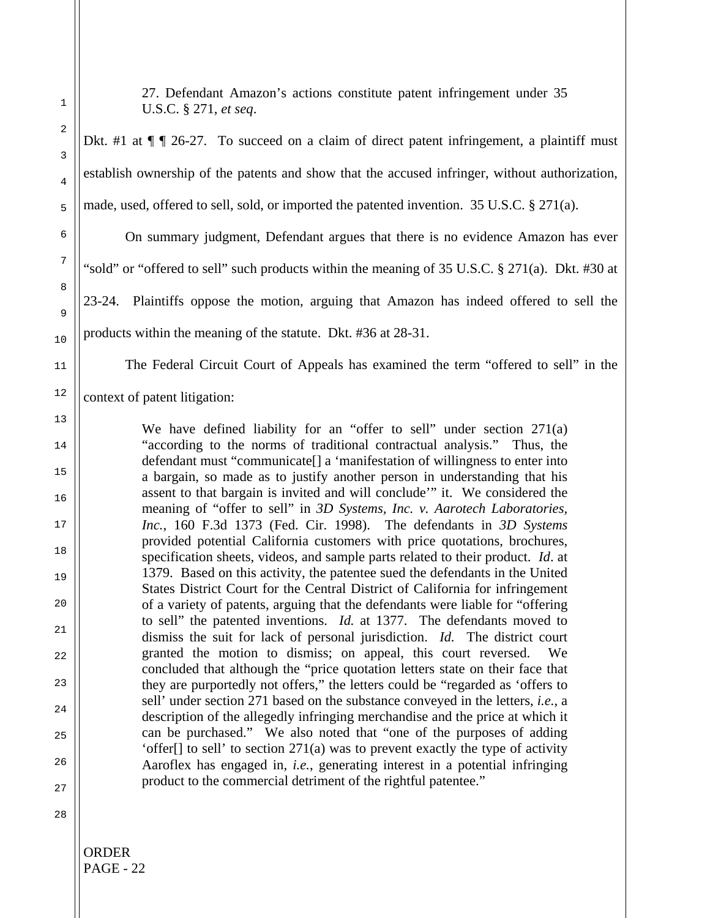1

27. Defendant Amazon's actions constitute patent infringement under 35 U.S.C. § 271, *et seq*.

Dkt. #1 at  $\P$   $\P$  26-27. To succeed on a claim of direct patent infringement, a plaintiff must establish ownership of the patents and show that the accused infringer, without authorization, made, used, offered to sell, sold, or imported the patented invention. 35 U.S.C. § 271(a).

On summary judgment, Defendant argues that there is no evidence Amazon has ever "sold" or "offered to sell" such products within the meaning of 35 U.S.C. § 271(a). Dkt. #30 at 23-24. Plaintiffs oppose the motion, arguing that Amazon has indeed offered to sell the products within the meaning of the statute. Dkt. #36 at 28-31.

The Federal Circuit Court of Appeals has examined the term "offered to sell" in the

context of patent litigation:

We have defined liability for an "offer to sell" under section 271(a) "according to the norms of traditional contractual analysis." Thus, the defendant must "communicate[] a 'manifestation of willingness to enter into a bargain, so made as to justify another person in understanding that his assent to that bargain is invited and will conclude'" it. We considered the meaning of "offer to sell" in *3D Systems, Inc. v. Aarotech Laboratories, Inc.*, 160 F.3d 1373 (Fed. Cir. 1998). The defendants in *3D Systems* provided potential California customers with price quotations, brochures, specification sheets, videos, and sample parts related to their product. *Id*. at 1379. Based on this activity, the patentee sued the defendants in the United States District Court for the Central District of California for infringement of a variety of patents, arguing that the defendants were liable for "offering to sell" the patented inventions. *Id.* at 1377. The defendants moved to dismiss the suit for lack of personal jurisdiction. *Id.* The district court granted the motion to dismiss; on appeal, this court reversed. We concluded that although the "price quotation letters state on their face that they are purportedly not offers," the letters could be "regarded as 'offers to sell' under section 271 based on the substance conveyed in the letters, *i.e.*, a description of the allegedly infringing merchandise and the price at which it can be purchased." We also noted that "one of the purposes of adding 'offer[] to sell' to section 271(a) was to prevent exactly the type of activity Aaroflex has engaged in, *i.e.*, generating interest in a potential infringing product to the commercial detriment of the rightful patentee."

28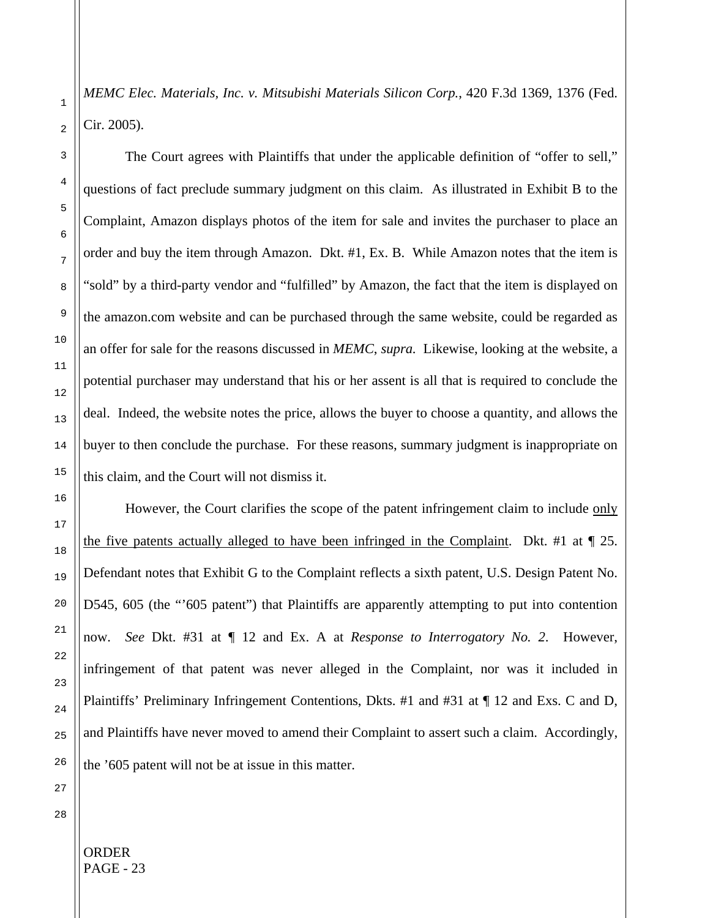*MEMC Elec. Materials, Inc. v. Mitsubishi Materials Silicon Corp.*, 420 F.3d 1369, 1376 (Fed. Cir. 2005).

The Court agrees with Plaintiffs that under the applicable definition of "offer to sell," questions of fact preclude summary judgment on this claim. As illustrated in Exhibit B to the Complaint, Amazon displays photos of the item for sale and invites the purchaser to place an order and buy the item through Amazon. Dkt. #1, Ex. B. While Amazon notes that the item is "sold" by a third-party vendor and "fulfilled" by Amazon, the fact that the item is displayed on the amazon.com website and can be purchased through the same website, could be regarded as an offer for sale for the reasons discussed in *MEMC*, *supra.* Likewise, looking at the website, a potential purchaser may understand that his or her assent is all that is required to conclude the deal. Indeed, the website notes the price, allows the buyer to choose a quantity, and allows the buyer to then conclude the purchase. For these reasons, summary judgment is inappropriate on this claim, and the Court will not dismiss it.

However, the Court clarifies the scope of the patent infringement claim to include only the five patents actually alleged to have been infringed in the Complaint. Dkt. #1 at ¶ 25. Defendant notes that Exhibit G to the Complaint reflects a sixth patent, U.S. Design Patent No. D545, 605 (the "'605 patent") that Plaintiffs are apparently attempting to put into contention now. *See* Dkt. #31 at ¶ 12 and Ex. A at *Response to Interrogatory No. 2*. However, infringement of that patent was never alleged in the Complaint, nor was it included in Plaintiffs' Preliminary Infringement Contentions, Dkts. #1 and #31 at ¶ 12 and Exs. C and D, and Plaintiffs have never moved to amend their Complaint to assert such a claim. Accordingly, the '605 patent will not be at issue in this matter.

1

2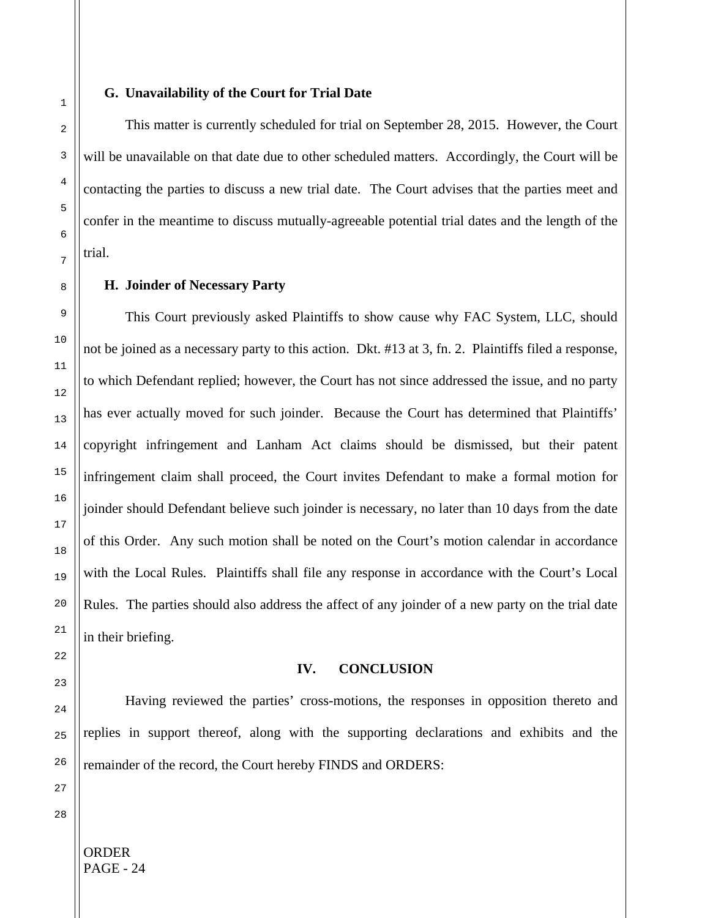#### **G. Unavailability of the Court for Trial Date**

This matter is currently scheduled for trial on September 28, 2015. However, the Court will be unavailable on that date due to other scheduled matters. Accordingly, the Court will be contacting the parties to discuss a new trial date. The Court advises that the parties meet and confer in the meantime to discuss mutually-agreeable potential trial dates and the length of the trial.

#### **H. Joinder of Necessary Party**

This Court previously asked Plaintiffs to show cause why FAC System, LLC, should not be joined as a necessary party to this action. Dkt. #13 at 3, fn. 2. Plaintiffs filed a response, to which Defendant replied; however, the Court has not since addressed the issue, and no party has ever actually moved for such joinder. Because the Court has determined that Plaintiffs' copyright infringement and Lanham Act claims should be dismissed, but their patent infringement claim shall proceed, the Court invites Defendant to make a formal motion for joinder should Defendant believe such joinder is necessary, no later than 10 days from the date of this Order. Any such motion shall be noted on the Court's motion calendar in accordance with the Local Rules. Plaintiffs shall file any response in accordance with the Court's Local Rules. The parties should also address the affect of any joinder of a new party on the trial date in their briefing.

## **IV. CONCLUSION**

Having reviewed the parties' cross-motions, the responses in opposition thereto and replies in support thereof, along with the supporting declarations and exhibits and the remainder of the record, the Court hereby FINDS and ORDERS:

ORDER

PAGE - 24